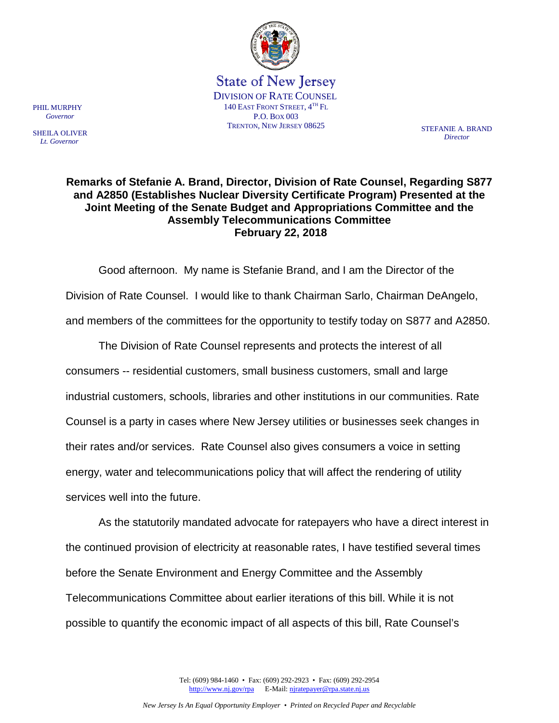

State of New Jersey DIVISION OF RATE COUNSEL 140 EAST FRONT STREET,  $4^{TH}$  FL P.O. BOX 003 TRENTON, NEW JERSEY 08625 STEFANIE A BRAND

PHIL MURPHY  *Governor*

SHEILA OLIVER  *Lt. Governor*

*Director*

## **Remarks of Stefanie A. Brand, Director, Division of Rate Counsel, Regarding S877 and A2850 (Establishes Nuclear Diversity Certificate Program) Presented at the Joint Meeting of the Senate Budget and Appropriations Committee and the Assembly Telecommunications Committee February 22, 2018**

Good afternoon. My name is Stefanie Brand, and I am the Director of the Division of Rate Counsel. I would like to thank Chairman Sarlo, Chairman DeAngelo, and members of the committees for the opportunity to testify today on S877 and A2850.

The Division of Rate Counsel represents and protects the interest of all consumers -- residential customers, small business customers, small and large industrial customers, schools, libraries and other institutions in our communities. Rate Counsel is a party in cases where New Jersey utilities or businesses seek changes in their rates and/or services. Rate Counsel also gives consumers a voice in setting energy, water and telecommunications policy that will affect the rendering of utility services well into the future.

As the statutorily mandated advocate for ratepayers who have a direct interest in the continued provision of electricity at reasonable rates, I have testified several times before the Senate Environment and Energy Committee and the Assembly Telecommunications Committee about earlier iterations of this bill. While it is not possible to quantify the economic impact of all aspects of this bill, Rate Counsel's

> Tel: (609) 984-1460 • Fax: (609) 292-2923 • Fax: (609) 292-2954 [http://www.nj.gov/rpa](http://www.state.nj.us/publicadvocate/utility) E-Mail[: njratepayer@rpa.state.nj.us](mailto:njratepayer@rpa.state.nj.us)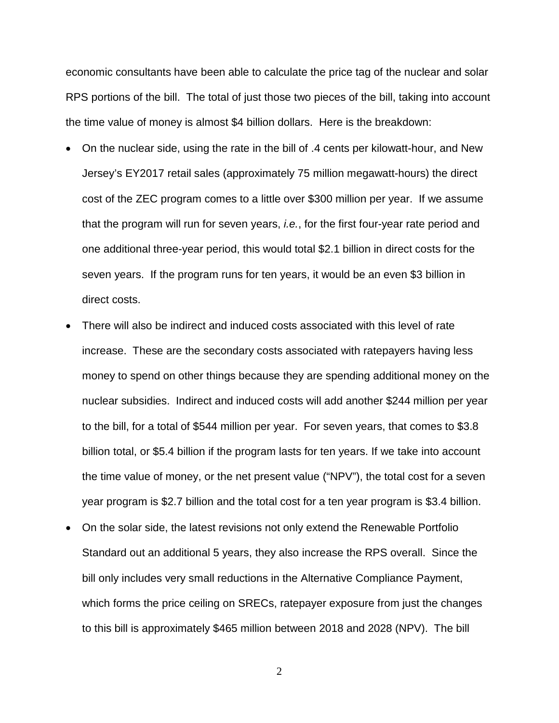economic consultants have been able to calculate the price tag of the nuclear and solar RPS portions of the bill. The total of just those two pieces of the bill, taking into account the time value of money is almost \$4 billion dollars. Here is the breakdown:

- On the nuclear side, using the rate in the bill of .4 cents per kilowatt-hour, and New Jersey's EY2017 retail sales (approximately 75 million megawatt-hours) the direct cost of the ZEC program comes to a little over \$300 million per year. If we assume that the program will run for seven years, *i.e.*, for the first four-year rate period and one additional three-year period, this would total \$2.1 billion in direct costs for the seven years. If the program runs for ten years, it would be an even \$3 billion in direct costs.
- There will also be indirect and induced costs associated with this level of rate increase. These are the secondary costs associated with ratepayers having less money to spend on other things because they are spending additional money on the nuclear subsidies. Indirect and induced costs will add another \$244 million per year to the bill, for a total of \$544 million per year. For seven years, that comes to \$3.8 billion total, or \$5.4 billion if the program lasts for ten years. If we take into account the time value of money, or the net present value ("NPV"), the total cost for a seven year program is \$2.7 billion and the total cost for a ten year program is \$3.4 billion.
- On the solar side, the latest revisions not only extend the Renewable Portfolio Standard out an additional 5 years, they also increase the RPS overall. Since the bill only includes very small reductions in the Alternative Compliance Payment, which forms the price ceiling on SRECs, ratepayer exposure from just the changes to this bill is approximately \$465 million between 2018 and 2028 (NPV). The bill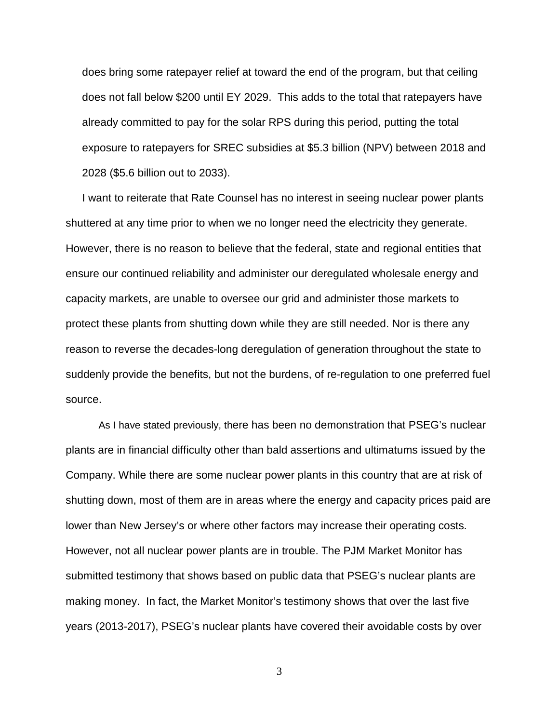does bring some ratepayer relief at toward the end of the program, but that ceiling does not fall below \$200 until EY 2029. This adds to the total that ratepayers have already committed to pay for the solar RPS during this period, putting the total exposure to ratepayers for SREC subsidies at \$5.3 billion (NPV) between 2018 and 2028 (\$5.6 billion out to 2033).

I want to reiterate that Rate Counsel has no interest in seeing nuclear power plants shuttered at any time prior to when we no longer need the electricity they generate. However, there is no reason to believe that the federal, state and regional entities that ensure our continued reliability and administer our deregulated wholesale energy and capacity markets, are unable to oversee our grid and administer those markets to protect these plants from shutting down while they are still needed. Nor is there any reason to reverse the decades-long deregulation of generation throughout the state to suddenly provide the benefits, but not the burdens, of re-regulation to one preferred fuel source.

 As I have stated previously, there has been no demonstration that PSEG's nuclear plants are in financial difficulty other than bald assertions and ultimatums issued by the Company. While there are some nuclear power plants in this country that are at risk of shutting down, most of them are in areas where the energy and capacity prices paid are lower than New Jersey's or where other factors may increase their operating costs. However, not all nuclear power plants are in trouble. The PJM Market Monitor has submitted testimony that shows based on public data that PSEG's nuclear plants are making money. In fact, the Market Monitor's testimony shows that over the last five years (2013-2017), PSEG's nuclear plants have covered their avoidable costs by over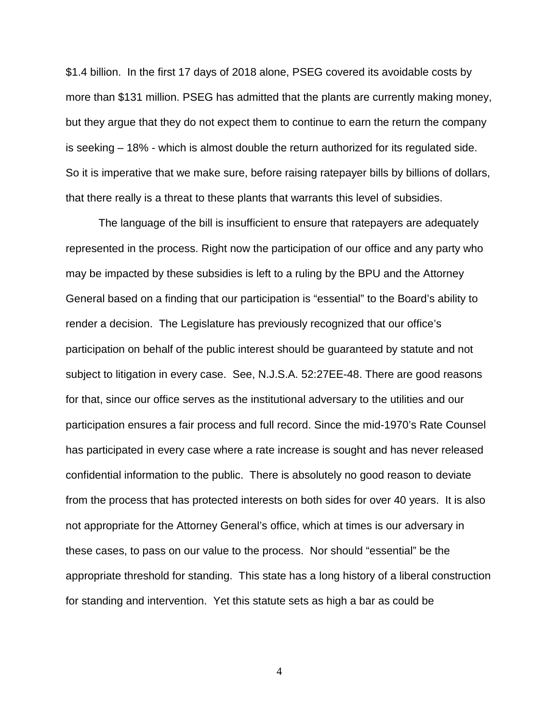\$1.4 billion. In the first 17 days of 2018 alone, PSEG covered its avoidable costs by more than \$131 million. PSEG has admitted that the plants are currently making money, but they argue that they do not expect them to continue to earn the return the company is seeking – 18% - which is almost double the return authorized for its regulated side. So it is imperative that we make sure, before raising ratepayer bills by billions of dollars, that there really is a threat to these plants that warrants this level of subsidies.

The language of the bill is insufficient to ensure that ratepayers are adequately represented in the process. Right now the participation of our office and any party who may be impacted by these subsidies is left to a ruling by the BPU and the Attorney General based on a finding that our participation is "essential" to the Board's ability to render a decision. The Legislature has previously recognized that our office's participation on behalf of the public interest should be guaranteed by statute and not subject to litigation in every case. See, N.J.S.A. 52:27EE-48. There are good reasons for that, since our office serves as the institutional adversary to the utilities and our participation ensures a fair process and full record. Since the mid-1970's Rate Counsel has participated in every case where a rate increase is sought and has never released confidential information to the public. There is absolutely no good reason to deviate from the process that has protected interests on both sides for over 40 years. It is also not appropriate for the Attorney General's office, which at times is our adversary in these cases, to pass on our value to the process. Nor should "essential" be the appropriate threshold for standing. This state has a long history of a liberal construction for standing and intervention. Yet this statute sets as high a bar as could be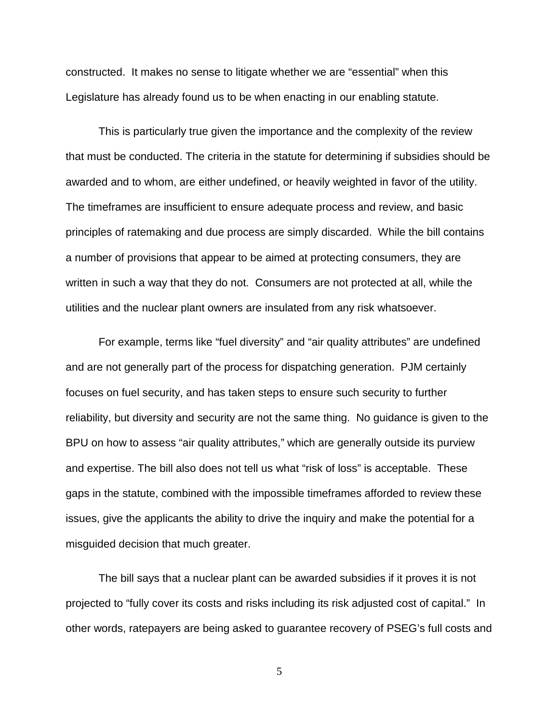constructed. It makes no sense to litigate whether we are "essential" when this Legislature has already found us to be when enacting in our enabling statute.

This is particularly true given the importance and the complexity of the review that must be conducted. The criteria in the statute for determining if subsidies should be awarded and to whom, are either undefined, or heavily weighted in favor of the utility. The timeframes are insufficient to ensure adequate process and review, and basic principles of ratemaking and due process are simply discarded. While the bill contains a number of provisions that appear to be aimed at protecting consumers, they are written in such a way that they do not. Consumers are not protected at all, while the utilities and the nuclear plant owners are insulated from any risk whatsoever.

For example, terms like "fuel diversity" and "air quality attributes" are undefined and are not generally part of the process for dispatching generation. PJM certainly focuses on fuel security, and has taken steps to ensure such security to further reliability, but diversity and security are not the same thing. No guidance is given to the BPU on how to assess "air quality attributes," which are generally outside its purview and expertise. The bill also does not tell us what "risk of loss" is acceptable. These gaps in the statute, combined with the impossible timeframes afforded to review these issues, give the applicants the ability to drive the inquiry and make the potential for a misguided decision that much greater.

The bill says that a nuclear plant can be awarded subsidies if it proves it is not projected to "fully cover its costs and risks including its risk adjusted cost of capital." In other words, ratepayers are being asked to guarantee recovery of PSEG's full costs and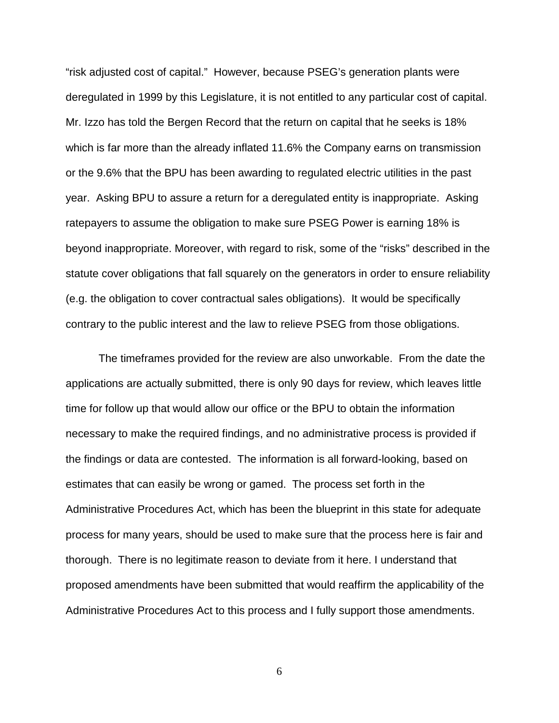"risk adjusted cost of capital." However, because PSEG's generation plants were deregulated in 1999 by this Legislature, it is not entitled to any particular cost of capital. Mr. Izzo has told the Bergen Record that the return on capital that he seeks is 18% which is far more than the already inflated 11.6% the Company earns on transmission or the 9.6% that the BPU has been awarding to regulated electric utilities in the past year. Asking BPU to assure a return for a deregulated entity is inappropriate. Asking ratepayers to assume the obligation to make sure PSEG Power is earning 18% is beyond inappropriate. Moreover, with regard to risk, some of the "risks" described in the statute cover obligations that fall squarely on the generators in order to ensure reliability (e.g. the obligation to cover contractual sales obligations). It would be specifically contrary to the public interest and the law to relieve PSEG from those obligations.

The timeframes provided for the review are also unworkable. From the date the applications are actually submitted, there is only 90 days for review, which leaves little time for follow up that would allow our office or the BPU to obtain the information necessary to make the required findings, and no administrative process is provided if the findings or data are contested. The information is all forward-looking, based on estimates that can easily be wrong or gamed. The process set forth in the Administrative Procedures Act, which has been the blueprint in this state for adequate process for many years, should be used to make sure that the process here is fair and thorough. There is no legitimate reason to deviate from it here. I understand that proposed amendments have been submitted that would reaffirm the applicability of the Administrative Procedures Act to this process and I fully support those amendments.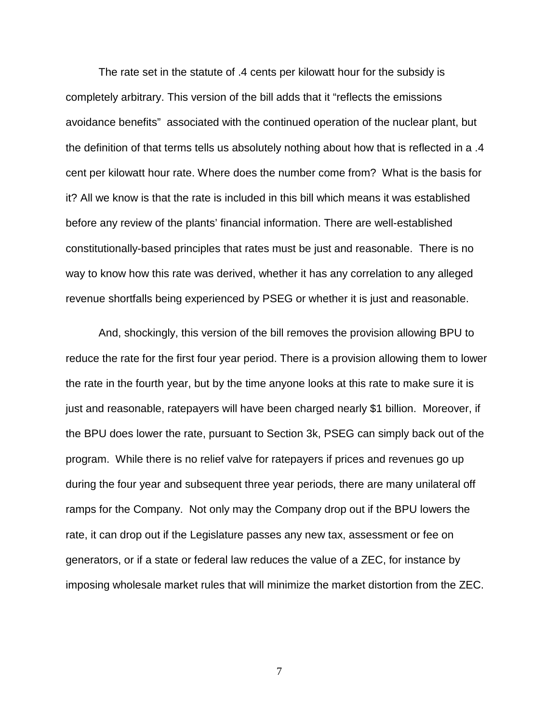The rate set in the statute of .4 cents per kilowatt hour for the subsidy is completely arbitrary. This version of the bill adds that it "reflects the emissions avoidance benefits" associated with the continued operation of the nuclear plant, but the definition of that terms tells us absolutely nothing about how that is reflected in a .4 cent per kilowatt hour rate. Where does the number come from? What is the basis for it? All we know is that the rate is included in this bill which means it was established before any review of the plants' financial information. There are well-established constitutionally-based principles that rates must be just and reasonable. There is no way to know how this rate was derived, whether it has any correlation to any alleged revenue shortfalls being experienced by PSEG or whether it is just and reasonable.

And, shockingly, this version of the bill removes the provision allowing BPU to reduce the rate for the first four year period. There is a provision allowing them to lower the rate in the fourth year, but by the time anyone looks at this rate to make sure it is just and reasonable, ratepayers will have been charged nearly \$1 billion. Moreover, if the BPU does lower the rate, pursuant to Section 3k, PSEG can simply back out of the program. While there is no relief valve for ratepayers if prices and revenues go up during the four year and subsequent three year periods, there are many unilateral off ramps for the Company. Not only may the Company drop out if the BPU lowers the rate, it can drop out if the Legislature passes any new tax, assessment or fee on generators, or if a state or federal law reduces the value of a ZEC, for instance by imposing wholesale market rules that will minimize the market distortion from the ZEC.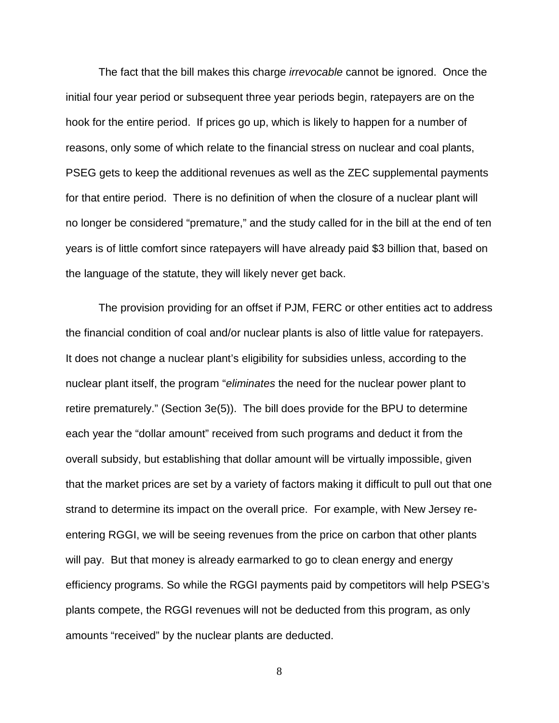The fact that the bill makes this charge *irrevocable* cannot be ignored. Once the initial four year period or subsequent three year periods begin, ratepayers are on the hook for the entire period. If prices go up, which is likely to happen for a number of reasons, only some of which relate to the financial stress on nuclear and coal plants, PSEG gets to keep the additional revenues as well as the ZEC supplemental payments for that entire period. There is no definition of when the closure of a nuclear plant will no longer be considered "premature," and the study called for in the bill at the end of ten years is of little comfort since ratepayers will have already paid \$3 billion that, based on the language of the statute, they will likely never get back.

The provision providing for an offset if PJM, FERC or other entities act to address the financial condition of coal and/or nuclear plants is also of little value for ratepayers. It does not change a nuclear plant's eligibility for subsidies unless, according to the nuclear plant itself, the program "*eliminates* the need for the nuclear power plant to retire prematurely." (Section 3e(5)). The bill does provide for the BPU to determine each year the "dollar amount" received from such programs and deduct it from the overall subsidy, but establishing that dollar amount will be virtually impossible, given that the market prices are set by a variety of factors making it difficult to pull out that one strand to determine its impact on the overall price. For example, with New Jersey reentering RGGI, we will be seeing revenues from the price on carbon that other plants will pay. But that money is already earmarked to go to clean energy and energy efficiency programs. So while the RGGI payments paid by competitors will help PSEG's plants compete, the RGGI revenues will not be deducted from this program, as only amounts "received" by the nuclear plants are deducted.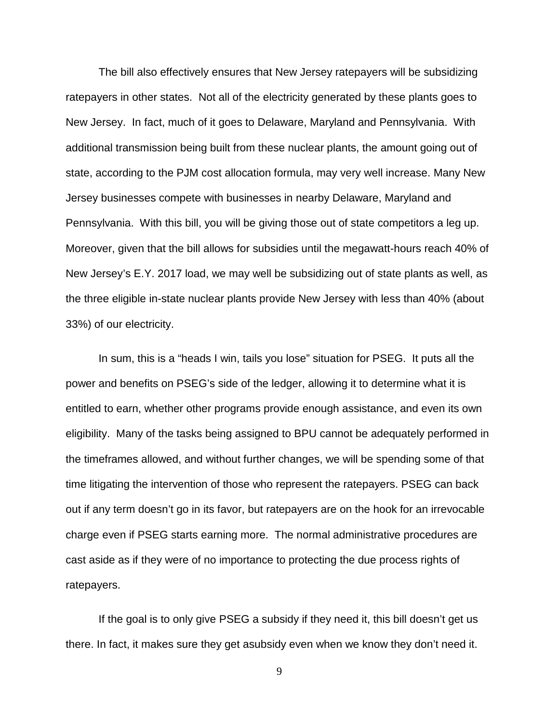The bill also effectively ensures that New Jersey ratepayers will be subsidizing ratepayers in other states. Not all of the electricity generated by these plants goes to New Jersey. In fact, much of it goes to Delaware, Maryland and Pennsylvania. With additional transmission being built from these nuclear plants, the amount going out of state, according to the PJM cost allocation formula, may very well increase. Many New Jersey businesses compete with businesses in nearby Delaware, Maryland and Pennsylvania. With this bill, you will be giving those out of state competitors a leg up. Moreover, given that the bill allows for subsidies until the megawatt-hours reach 40% of New Jersey's E.Y. 2017 load, we may well be subsidizing out of state plants as well, as the three eligible in-state nuclear plants provide New Jersey with less than 40% (about 33%) of our electricity.

In sum, this is a "heads I win, tails you lose" situation for PSEG. It puts all the power and benefits on PSEG's side of the ledger, allowing it to determine what it is entitled to earn, whether other programs provide enough assistance, and even its own eligibility. Many of the tasks being assigned to BPU cannot be adequately performed in the timeframes allowed, and without further changes, we will be spending some of that time litigating the intervention of those who represent the ratepayers. PSEG can back out if any term doesn't go in its favor, but ratepayers are on the hook for an irrevocable charge even if PSEG starts earning more. The normal administrative procedures are cast aside as if they were of no importance to protecting the due process rights of ratepayers.

If the goal is to only give PSEG a subsidy if they need it, this bill doesn't get us there. In fact, it makes sure they get asubsidy even when we know they don't need it.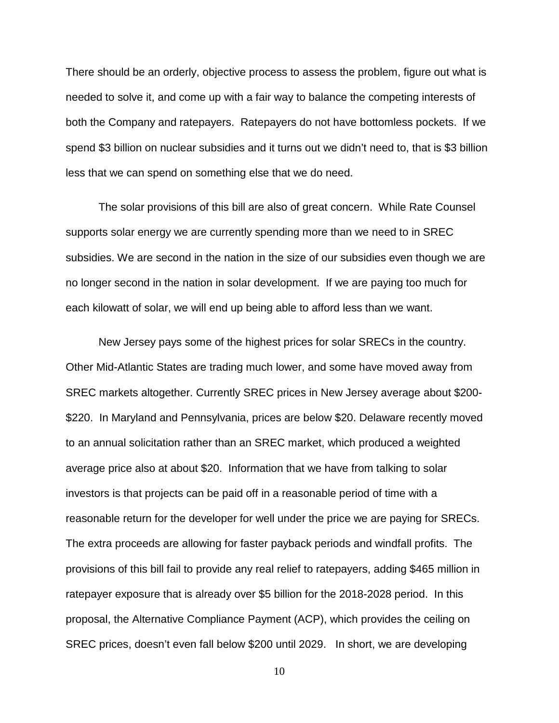There should be an orderly, objective process to assess the problem, figure out what is needed to solve it, and come up with a fair way to balance the competing interests of both the Company and ratepayers. Ratepayers do not have bottomless pockets. If we spend \$3 billion on nuclear subsidies and it turns out we didn't need to, that is \$3 billion less that we can spend on something else that we do need.

The solar provisions of this bill are also of great concern. While Rate Counsel supports solar energy we are currently spending more than we need to in SREC subsidies. We are second in the nation in the size of our subsidies even though we are no longer second in the nation in solar development. If we are paying too much for each kilowatt of solar, we will end up being able to afford less than we want.

New Jersey pays some of the highest prices for solar SRECs in the country. Other Mid-Atlantic States are trading much lower, and some have moved away from SREC markets altogether. Currently SREC prices in New Jersey average about \$200- \$220. In Maryland and Pennsylvania, prices are below \$20. Delaware recently moved to an annual solicitation rather than an SREC market, which produced a weighted average price also at about \$20. Information that we have from talking to solar investors is that projects can be paid off in a reasonable period of time with a reasonable return for the developer for well under the price we are paying for SRECs. The extra proceeds are allowing for faster payback periods and windfall profits. The provisions of this bill fail to provide any real relief to ratepayers, adding \$465 million in ratepayer exposure that is already over \$5 billion for the 2018-2028 period. In this proposal, the Alternative Compliance Payment (ACP), which provides the ceiling on SREC prices, doesn't even fall below \$200 until 2029. In short, we are developing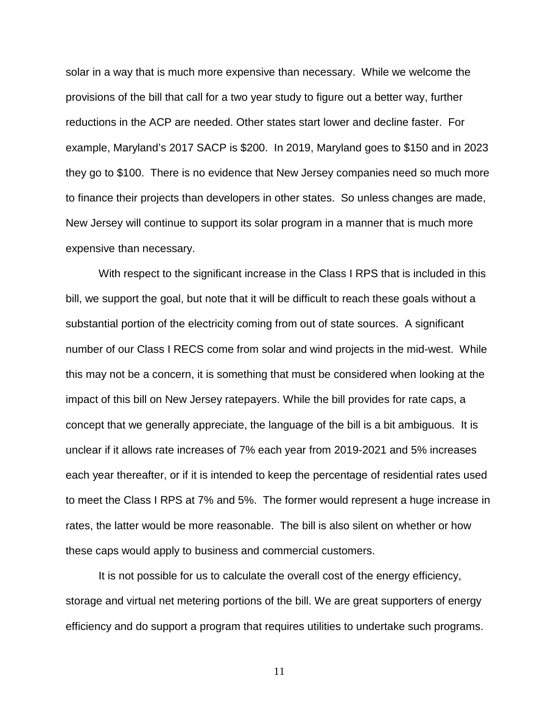solar in a way that is much more expensive than necessary. While we welcome the provisions of the bill that call for a two year study to figure out a better way, further reductions in the ACP are needed. Other states start lower and decline faster. For example, Maryland's 2017 SACP is \$200. In 2019, Maryland goes to \$150 and in 2023 they go to \$100. There is no evidence that New Jersey companies need so much more to finance their projects than developers in other states. So unless changes are made, New Jersey will continue to support its solar program in a manner that is much more expensive than necessary.

With respect to the significant increase in the Class I RPS that is included in this bill, we support the goal, but note that it will be difficult to reach these goals without a substantial portion of the electricity coming from out of state sources. A significant number of our Class I RECS come from solar and wind projects in the mid-west. While this may not be a concern, it is something that must be considered when looking at the impact of this bill on New Jersey ratepayers. While the bill provides for rate caps, a concept that we generally appreciate, the language of the bill is a bit ambiguous. It is unclear if it allows rate increases of 7% each year from 2019-2021 and 5% increases each year thereafter, or if it is intended to keep the percentage of residential rates used to meet the Class I RPS at 7% and 5%. The former would represent a huge increase in rates, the latter would be more reasonable. The bill is also silent on whether or how these caps would apply to business and commercial customers.

It is not possible for us to calculate the overall cost of the energy efficiency, storage and virtual net metering portions of the bill. We are great supporters of energy efficiency and do support a program that requires utilities to undertake such programs.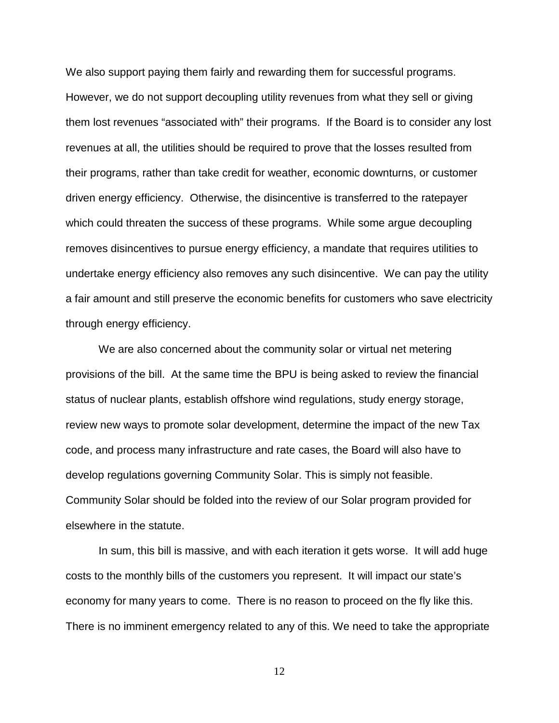We also support paying them fairly and rewarding them for successful programs. However, we do not support decoupling utility revenues from what they sell or giving them lost revenues "associated with" their programs. If the Board is to consider any lost revenues at all, the utilities should be required to prove that the losses resulted from their programs, rather than take credit for weather, economic downturns, or customer driven energy efficiency. Otherwise, the disincentive is transferred to the ratepayer which could threaten the success of these programs. While some argue decoupling removes disincentives to pursue energy efficiency, a mandate that requires utilities to undertake energy efficiency also removes any such disincentive. We can pay the utility a fair amount and still preserve the economic benefits for customers who save electricity through energy efficiency.

We are also concerned about the community solar or virtual net metering provisions of the bill. At the same time the BPU is being asked to review the financial status of nuclear plants, establish offshore wind regulations, study energy storage, review new ways to promote solar development, determine the impact of the new Tax code, and process many infrastructure and rate cases, the Board will also have to develop regulations governing Community Solar. This is simply not feasible. Community Solar should be folded into the review of our Solar program provided for elsewhere in the statute.

In sum, this bill is massive, and with each iteration it gets worse. It will add huge costs to the monthly bills of the customers you represent. It will impact our state's economy for many years to come. There is no reason to proceed on the fly like this. There is no imminent emergency related to any of this. We need to take the appropriate